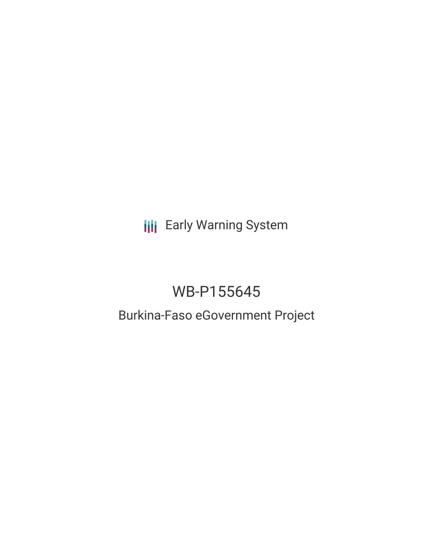**III** Early Warning System

# WB-P155645

## Burkina-Faso eGovernment Project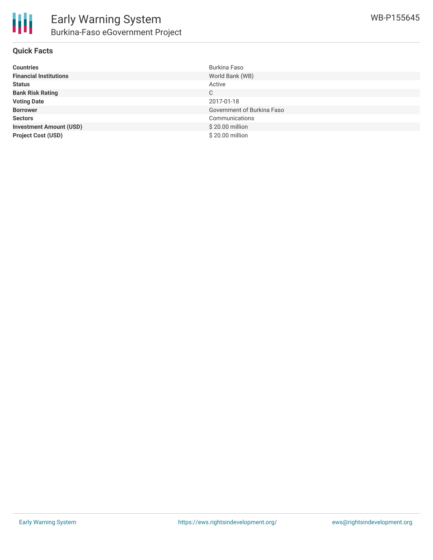

#### **Quick Facts**

| <b>Countries</b>               | Burkina Faso               |
|--------------------------------|----------------------------|
| <b>Financial Institutions</b>  | World Bank (WB)            |
| <b>Status</b>                  | Active                     |
| <b>Bank Risk Rating</b>        | C                          |
| <b>Voting Date</b>             | 2017-01-18                 |
| <b>Borrower</b>                | Government of Burkina Faso |
| <b>Sectors</b>                 | Communications             |
| <b>Investment Amount (USD)</b> | \$20.00 million            |
| <b>Project Cost (USD)</b>      | \$20.00 million            |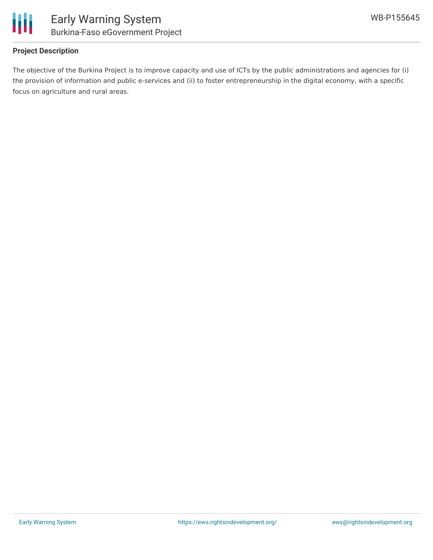

#### **Project Description**

The objective of the Burkina Project is to improve capacity and use of ICTs by the public administrations and agencies for (i) the provision of information and public e-services and (ii) to foster entrepreneurship in the digital economy, with a specific focus on agriculture and rural areas.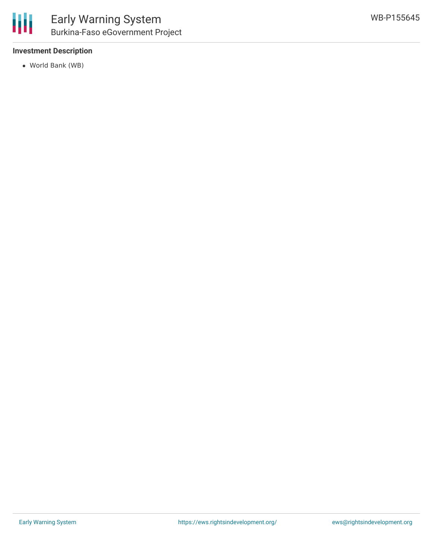#### **Investment Description**

World Bank (WB)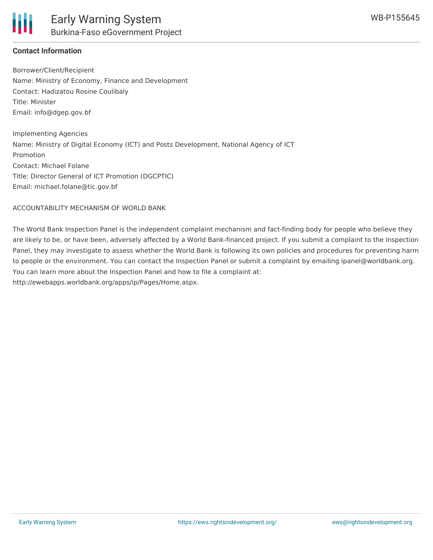#### **Contact Information**

Borrower/Client/Recipient Name: Ministry of Economy, Finance and Development Contact: Hadizatou Rosine Coulibaly Title: Minister Email: info@dgep.gov.bf

Implementing Agencies Name: Ministry of Digital Economy (ICT) and Posts Development, National Agency of ICT Promotion Contact: Michael Folane Title: Director General of ICT Promotion (DGCPTIC) Email: michael.folane@tic.gov.bf

ACCOUNTABILITY MECHANISM OF WORLD BANK

The World Bank Inspection Panel is the independent complaint mechanism and fact-finding body for people who believe they are likely to be, or have been, adversely affected by a World Bank-financed project. If you submit a complaint to the Inspection Panel, they may investigate to assess whether the World Bank is following its own policies and procedures for preventing harm to people or the environment. You can contact the Inspection Panel or submit a complaint by emailing ipanel@worldbank.org. You can learn more about the Inspection Panel and how to file a complaint at: http://ewebapps.worldbank.org/apps/ip/Pages/Home.aspx.